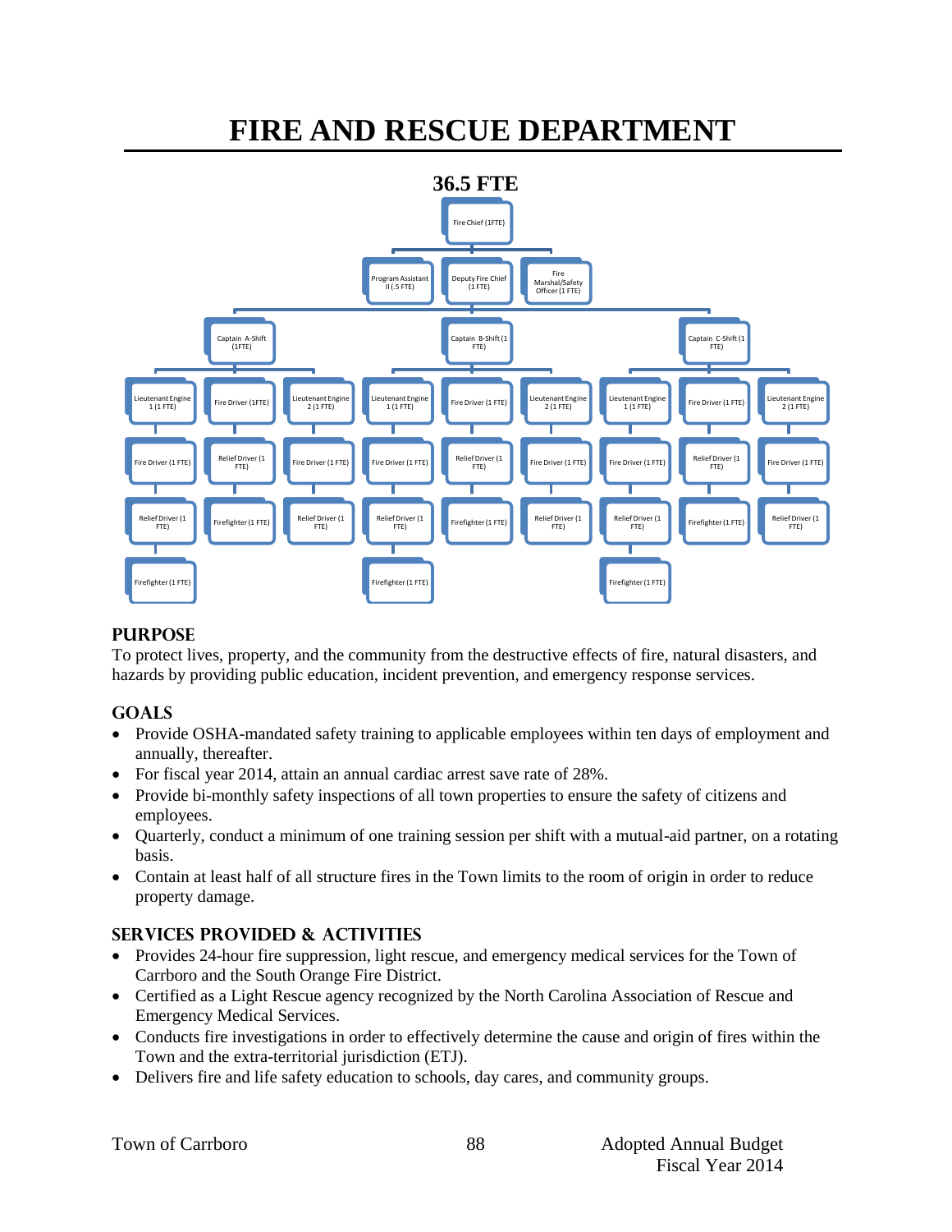# **FIRE AND RESCUE DEPARTMENT**



## **PURPOSE**

To protect lives, property, and the community from the destructive effects of fire, natural disasters, and hazards by providing public education, incident prevention, and emergency response services.

## **GOALS**

- Provide OSHA-mandated safety training to applicable employees within ten days of employment and annually, thereafter.
- For fiscal year 2014, attain an annual cardiac arrest save rate of 28%.
- Provide bi-monthly safety inspections of all town properties to ensure the safety of citizens and employees.
- Quarterly, conduct a minimum of one training session per shift with a mutual-aid partner, on a rotating basis.
- Contain at least half of all structure fires in the Town limits to the room of origin in order to reduce property damage.

# **SERVICES PROVIDED & ACTIVITIES**

- Provides 24-hour fire suppression, light rescue, and emergency medical services for the Town of Carrboro and the South Orange Fire District.
- Certified as a Light Rescue agency recognized by the North Carolina Association of Rescue and Emergency Medical Services.
- Conducts fire investigations in order to effectively determine the cause and origin of fires within the Town and the extra-territorial jurisdiction (ETJ).
- Delivers fire and life safety education to schools, day cares, and community groups.

|  | Town of Carrboro |
|--|------------------|
|  |                  |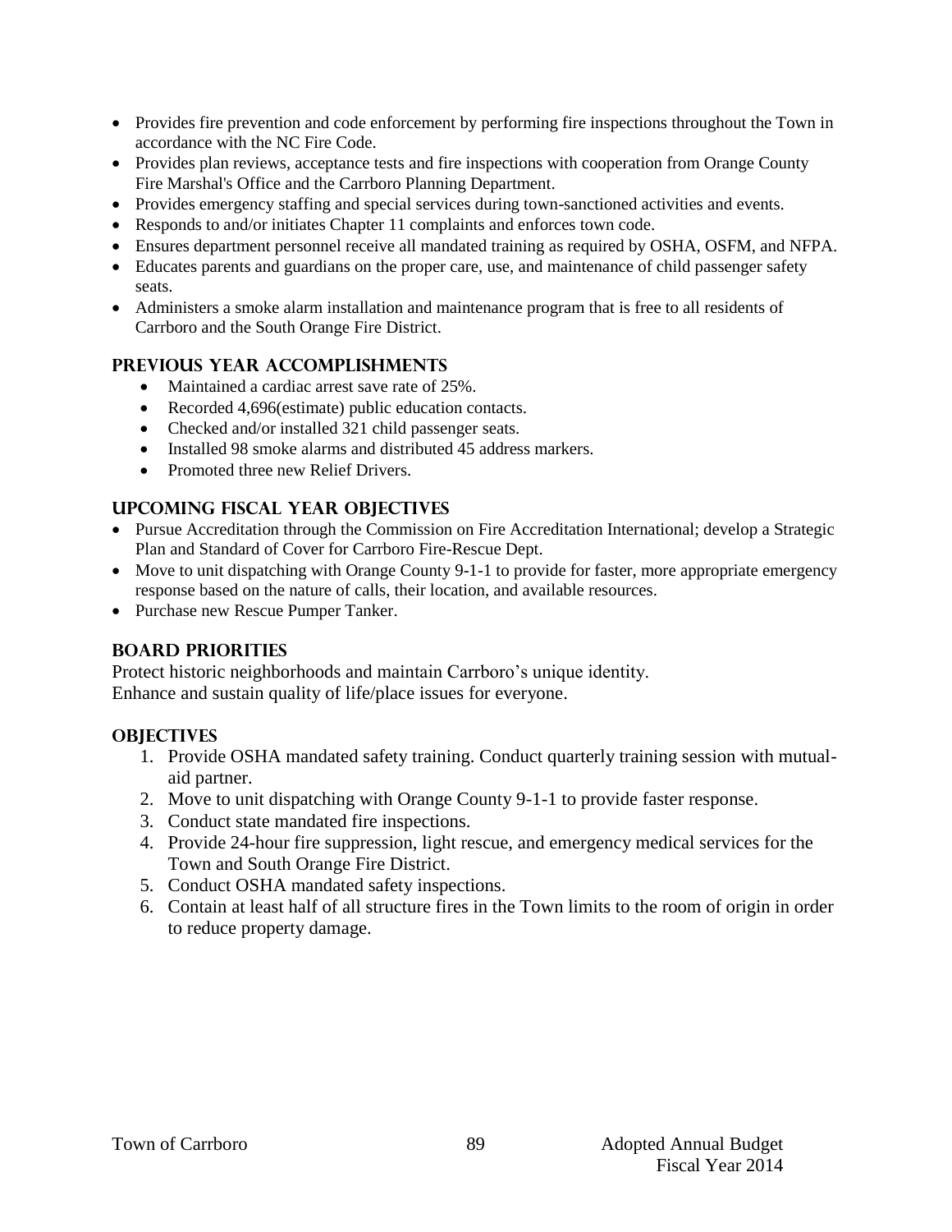- Provides fire prevention and code enforcement by performing fire inspections throughout the Town in accordance with the NC Fire Code.
- Provides plan reviews, acceptance tests and fire inspections with cooperation from Orange County Fire Marshal's Office and the Carrboro Planning Department.
- Provides emergency staffing and special services during town-sanctioned activities and events.
- Responds to and/or initiates Chapter 11 complaints and enforces town code.
- Ensures department personnel receive all mandated training as required by OSHA, OSFM, and NFPA.
- Educates parents and guardians on the proper care, use, and maintenance of child passenger safety seats.
- Administers a smoke alarm installation and maintenance program that is free to all residents of Carrboro and the South Orange Fire District.

#### **PREVIOUS YEAR ACCOMPLISHMENTS**

- Maintained a cardiac arrest save rate of 25%.
- Recorded 4,696(estimate) public education contacts.
- Checked and/or installed 321 child passenger seats.
- Installed 98 smoke alarms and distributed 45 address markers.
- Promoted three new Relief Drivers.

#### **UPCOMING FISCAL YEAR OBJECTIVES**

- Pursue Accreditation through the Commission on Fire Accreditation International; develop a Strategic Plan and Standard of Cover for Carrboro Fire-Rescue Dept.
- Move to unit dispatching with Orange County 9-1-1 to provide for faster, more appropriate emergency response based on the nature of calls, their location, and available resources.
- Purchase new Rescue Pumper Tanker.

## **BOARD PRIORITIES**

Protect historic neighborhoods and maintain Carrboro's unique identity. Enhance and sustain quality of life/place issues for everyone.

#### **OBJECTIVES**

- 1. Provide OSHA mandated safety training. Conduct quarterly training session with mutualaid partner.
- 2. Move to unit dispatching with Orange County 9-1-1 to provide faster response.
- 3. Conduct state mandated fire inspections.
- 4. Provide 24-hour fire suppression, light rescue, and emergency medical services for the Town and South Orange Fire District.
- 5. Conduct OSHA mandated safety inspections.
- 6. Contain at least half of all structure fires in the Town limits to the room of origin in order to reduce property damage.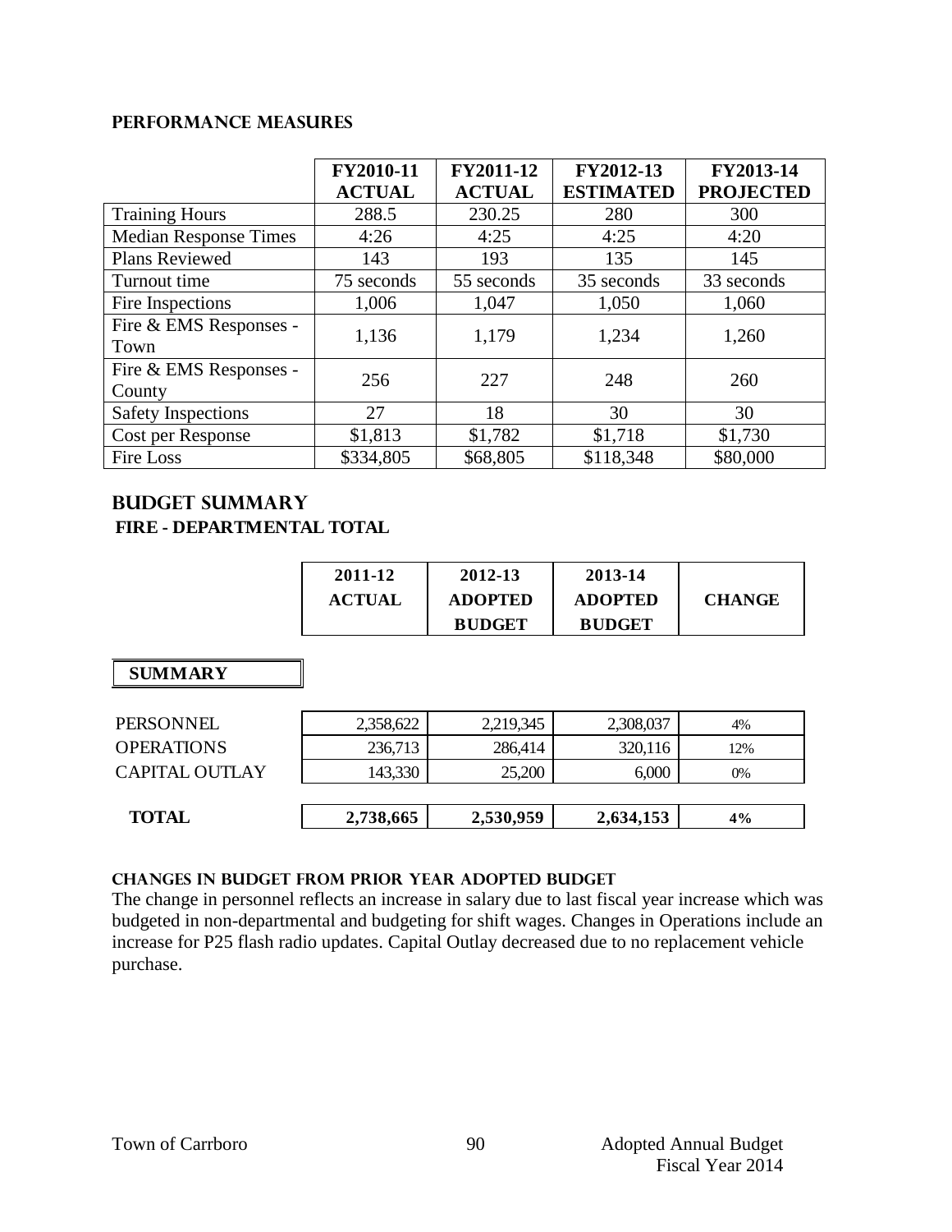#### **Performance Measures**

|                                  | FY2010-11<br><b>ACTUAL</b> | FY2011-12<br><b>ACTUAL</b> | FY2012-13<br><b>ESTIMATED</b> | FY2013-14<br><b>PROJECTED</b> |
|----------------------------------|----------------------------|----------------------------|-------------------------------|-------------------------------|
| <b>Training Hours</b>            | 288.5                      | 230.25                     | 280                           | 300                           |
| <b>Median Response Times</b>     | 4:26                       | 4:25                       | 4:25                          | 4:20                          |
| <b>Plans Reviewed</b>            | 143                        | 193                        | 135                           | 145                           |
| Turnout time                     | 75 seconds                 | 55 seconds                 | 35 seconds                    | 33 seconds                    |
| Fire Inspections                 | 1,006                      | 1,047                      | 1,050                         | 1,060                         |
| Fire & EMS Responses -<br>Town   | 1,136                      | 1,179                      | 1,234                         | 1,260                         |
| Fire & EMS Responses -<br>County | 256                        | 227                        | 248                           | 260                           |
| <b>Safety Inspections</b>        | 27                         | 18                         | 30                            | 30                            |
| Cost per Response                | \$1,813                    | \$1,782                    | \$1,718                       | \$1,730                       |
| <b>Fire Loss</b>                 | \$334,805                  | \$68,805                   | \$118,348                     | \$80,000                      |

## **Budget summary FIRE - DEPARTMENTAL TOTAL**

| 2011-12       | 2012-13        | 2013-14        |               |
|---------------|----------------|----------------|---------------|
| <b>ACTUAL</b> | <b>ADOPTED</b> | <b>ADOPTED</b> | <b>CHANGE</b> |
|               | <b>BUDGET</b>  | <b>BUDGET</b>  |               |

 **SUMMARY**

| PERSONNEL             | 2,358,622 | 2,219,345 | 2,308,037 | 4%    |
|-----------------------|-----------|-----------|-----------|-------|
| <b>OPERATIONS</b>     | 236,713   | 286,414   | 320,116   | 12%   |
| <b>CAPITAL OUTLAY</b> | 143,330   | 25,200    | 6,000     | $0\%$ |
|                       |           |           |           |       |
| <b>TOTAL</b>          | 2,738,665 | 2,530,959 | 2,634,153 | 4%    |
|                       |           |           |           |       |

#### **CHANGES IN BUDGET from PRIOR YEAR ADOPTED BUDGET**

The change in personnel reflects an increase in salary due to last fiscal year increase which was budgeted in non-departmental and budgeting for shift wages. Changes in Operations include an increase for P25 flash radio updates. Capital Outlay decreased due to no replacement vehicle purchase.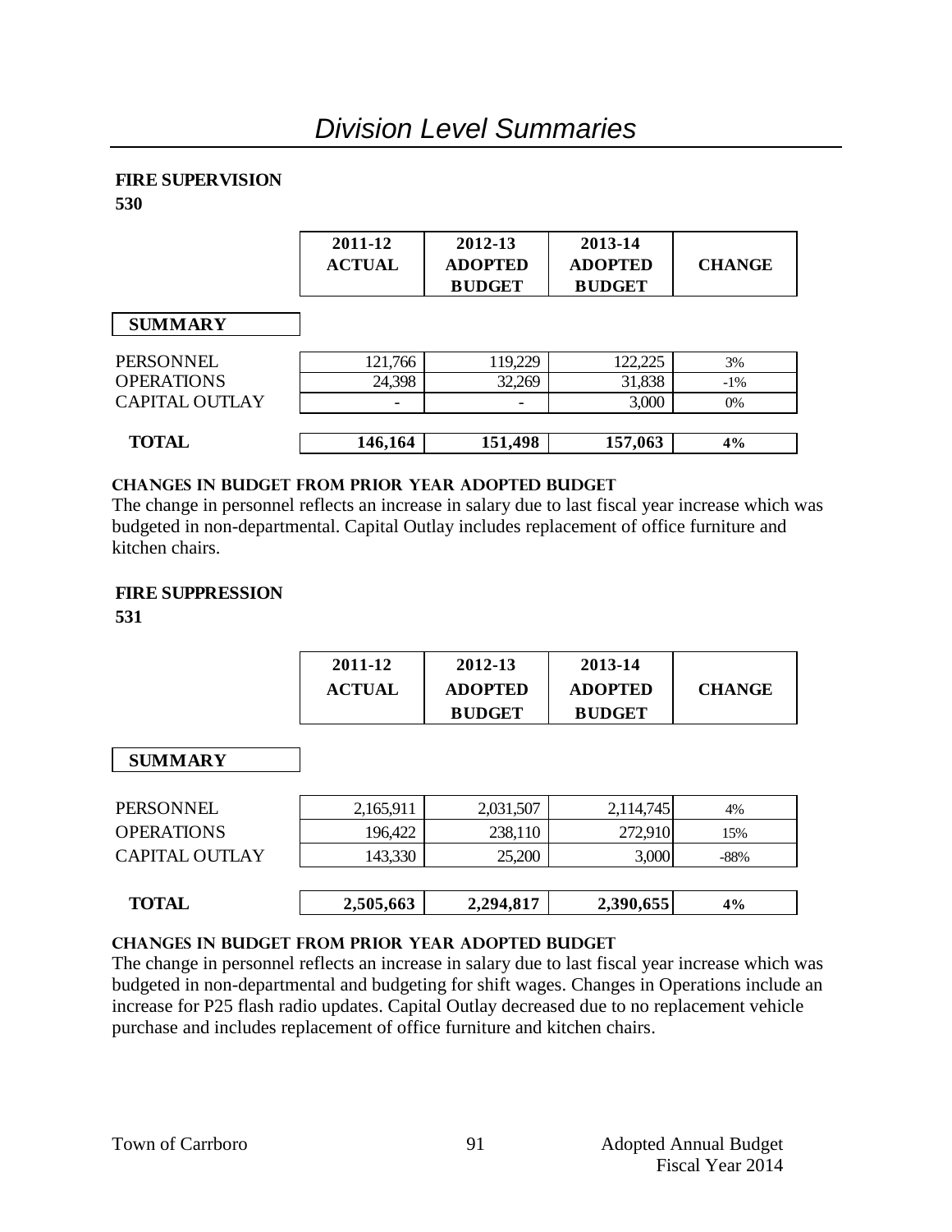## **FIRE SUPERVISION**

**530**

|                   | 2011-12<br><b>ACTUAL</b> | 2012-13<br><b>ADOPTED</b><br><b>BUDGET</b> | 2013-14<br><b>ADOPTED</b><br><b>BUDGET</b> | <b>CHANGE</b> |
|-------------------|--------------------------|--------------------------------------------|--------------------------------------------|---------------|
| <b>SUMMARY</b>    |                          |                                            |                                            |               |
| PERSONNEL         | 121,766                  | 119,229                                    | 122,225                                    | 3%            |
| <b>OPERATIONS</b> | 24,398                   | 32,269                                     | 31,838                                     | $-1\%$        |
| CAPITAL OUTLAY    |                          |                                            | 3,000                                      | 0%            |
| <b>TOTAL</b>      | 146,164                  | 151,498                                    | 157,063                                    | 4%            |

#### **changes in budget from prior year adopted budget**

The change in personnel reflects an increase in salary due to last fiscal year increase which was budgeted in non-departmental. Capital Outlay includes replacement of office furniture and kitchen chairs.

## **FIRE SUPPRESSION**

**531**

| 2011-12       | 2012-13        | 2013-14        |               |
|---------------|----------------|----------------|---------------|
| <b>ACTUAL</b> | <b>ADOPTED</b> | <b>ADOPTED</b> | <b>CHANGE</b> |
|               | <b>BUDGET</b>  | <b>BUDGET</b>  |               |

# **SUMMARY**

| <b>TOTAL</b>          | 2,505,663 | 2,294,817 | 2,390,655 | 4%   |
|-----------------------|-----------|-----------|-----------|------|
| <b>CAPITAL OUTLAY</b> | 143,330   | 25,200    | 3,000     | -88% |
| <b>OPERATIONS</b>     | 196,422   | 238,110   | 272,910   | 15%  |
| PERSONNEL             | 2,165,911 | 2,031,507 | 2,114,745 | 4%   |

## **changes in budget from prior year adopted budget**

The change in personnel reflects an increase in salary due to last fiscal year increase which was budgeted in non-departmental and budgeting for shift wages. Changes in Operations include an increase for P25 flash radio updates. Capital Outlay decreased due to no replacement vehicle purchase and includes replacement of office furniture and kitchen chairs.